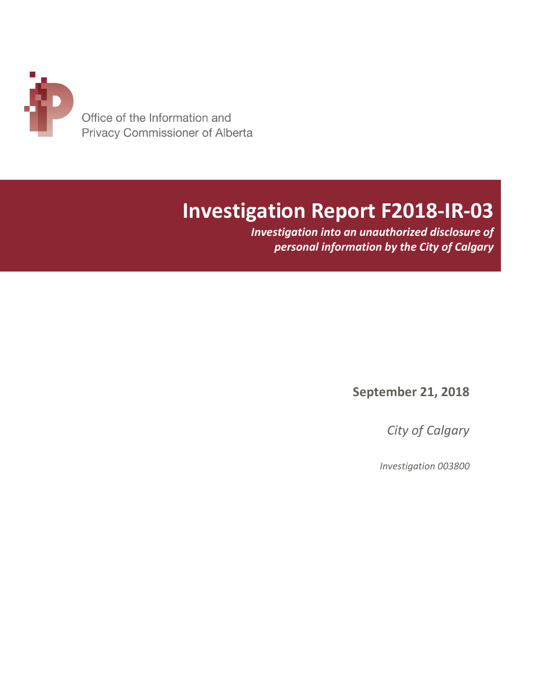

# **Investigation Report F2018-IR-03**

*Investigation into an unauthorized disclosure of personal information by the City of Calgary*

**September 21, 2018**

*City of Calgary*

*Investigation 003800*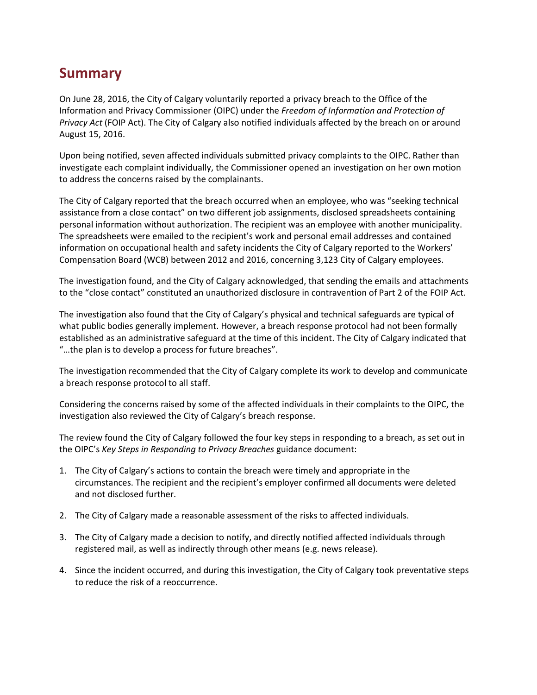## **Summary**

On June 28, 2016, the City of Calgary voluntarily reported a privacy breach to the Office of the Information and Privacy Commissioner (OIPC) under the *Freedom of Information and Protection of Privacy Act* (FOIP Act). The City of Calgary also notified individuals affected by the breach on or around August 15, 2016.

Upon being notified, seven affected individuals submitted privacy complaints to the OIPC. Rather than investigate each complaint individually, the Commissioner opened an investigation on her own motion to address the concerns raised by the complainants.

The City of Calgary reported that the breach occurred when an employee, who was "seeking technical assistance from a close contact" on two different job assignments, disclosed spreadsheets containing personal information without authorization. The recipient was an employee with another municipality. The spreadsheets were emailed to the recipient's work and personal email addresses and contained information on occupational health and safety incidents the City of Calgary reported to the Workers' Compensation Board (WCB) between 2012 and 2016, concerning 3,123 City of Calgary employees.

The investigation found, and the City of Calgary acknowledged, that sending the emails and attachments to the "close contact" constituted an unauthorized disclosure in contravention of Part 2 of the FOIP Act.

The investigation also found that the City of Calgary's physical and technical safeguards are typical of what public bodies generally implement. However, a breach response protocol had not been formally established as an administrative safeguard at the time of this incident. The City of Calgary indicated that "…the plan is to develop a process for future breaches".

The investigation recommended that the City of Calgary complete its work to develop and communicate a breach response protocol to all staff.

Considering the concerns raised by some of the affected individuals in their complaints to the OIPC, the investigation also reviewed the City of Calgary's breach response.

The review found the City of Calgary followed the four key steps in responding to a breach, as set out in the OIPC's *Key Steps in Responding to Privacy Breaches* guidance document:

- 1. The City of Calgary's actions to contain the breach were timely and appropriate in the circumstances. The recipient and the recipient's employer confirmed all documents were deleted and not disclosed further.
- 2. The City of Calgary made a reasonable assessment of the risks to affected individuals.
- 3. The City of Calgary made a decision to notify, and directly notified affected individuals through registered mail, as well as indirectly through other means (e.g. news release).
- 4. Since the incident occurred, and during this investigation, the City of Calgary took preventative steps to reduce the risk of a reoccurrence.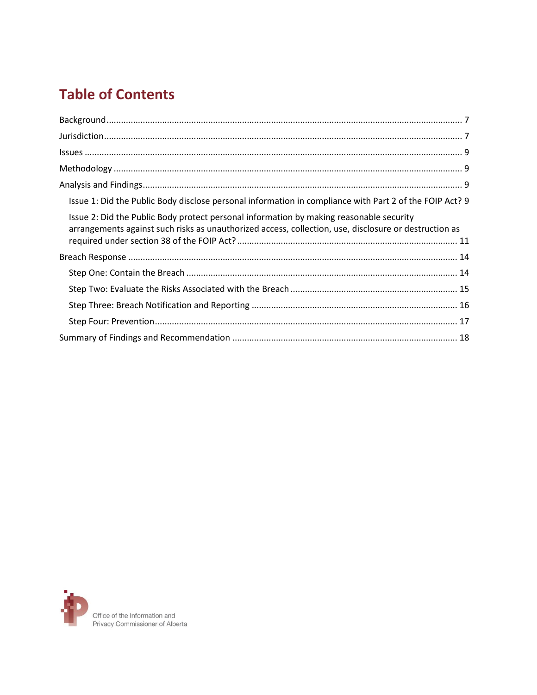## **Table of Contents**

| Issue 1: Did the Public Body disclose personal information in compliance with Part 2 of the FOIP Act? 9                                                                                          |
|--------------------------------------------------------------------------------------------------------------------------------------------------------------------------------------------------|
| Issue 2: Did the Public Body protect personal information by making reasonable security<br>arrangements against such risks as unauthorized access, collection, use, disclosure or destruction as |
|                                                                                                                                                                                                  |
|                                                                                                                                                                                                  |
|                                                                                                                                                                                                  |
|                                                                                                                                                                                                  |
|                                                                                                                                                                                                  |
|                                                                                                                                                                                                  |

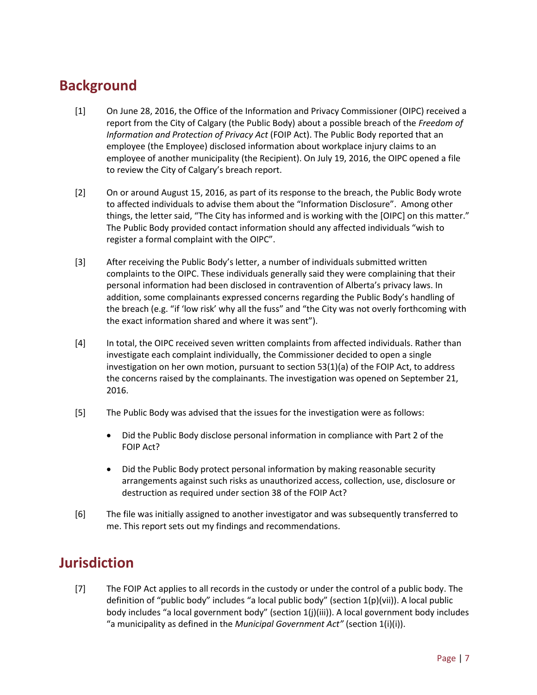## <span id="page-6-0"></span>**Background**

- [1] On June 28, 2016, the Office of the Information and Privacy Commissioner (OIPC) received a report from the City of Calgary (the Public Body) about a possible breach of the *Freedom of Information and Protection of Privacy Act* (FOIP Act). The Public Body reported that an employee (the Employee) disclosed information about workplace injury claims to an employee of another municipality (the Recipient). On July 19, 2016, the OIPC opened a file to review the City of Calgary's breach report.
- [2] On or around August 15, 2016, as part of its response to the breach, the Public Body wrote to affected individuals to advise them about the "Information Disclosure". Among other things, the letter said, "The City has informed and is working with the [OIPC] on this matter." The Public Body provided contact information should any affected individuals "wish to register a formal complaint with the OIPC".
- [3] After receiving the Public Body's letter, a number of individuals submitted written complaints to the OIPC. These individuals generally said they were complaining that their personal information had been disclosed in contravention of Alberta's privacy laws. In addition, some complainants expressed concerns regarding the Public Body's handling of the breach (e.g. "if 'low risk' why all the fuss" and "the City was not overly forthcoming with the exact information shared and where it was sent").
- [4] In total, the OIPC received seven written complaints from affected individuals. Rather than investigate each complaint individually, the Commissioner decided to open a single investigation on her own motion, pursuant to section 53(1)(a) of the FOIP Act, to address the concerns raised by the complainants. The investigation was opened on September 21, 2016.
- [5] The Public Body was advised that the issues for the investigation were as follows:
	- Did the Public Body disclose personal information in compliance with Part 2 of the FOIP Act?
	- Did the Public Body protect personal information by making reasonable security arrangements against such risks as unauthorized access, collection, use, disclosure or destruction as required under section 38 of the FOIP Act?
- [6] The file was initially assigned to another investigator and was subsequently transferred to me. This report sets out my findings and recommendations.

## <span id="page-6-1"></span>**Jurisdiction**

[7] The FOIP Act applies to all records in the custody or under the control of a public body. The definition of "public body" includes "a local public body" (section 1(p)(vii)). A local public body includes "a local government body" (section 1(j)(iii)). A local government body includes "a municipality as defined in the *Municipal Government Act"* (section 1(i)(i)).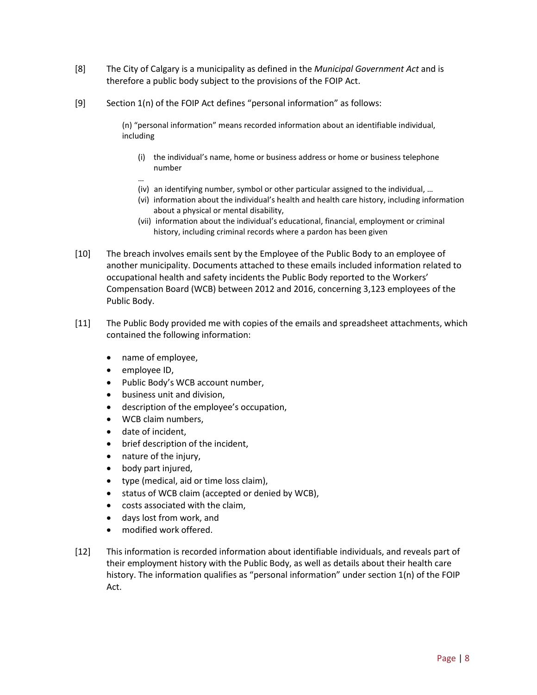- [8] The City of Calgary is a municipality as defined in the *Municipal Government Act* and is therefore a public body subject to the provisions of the FOIP Act.
- [9] Section 1(n) of the FOIP Act defines "personal information" as follows:

(n) "personal information" means recorded information about an identifiable individual, including

- (i) the individual's name, home or business address or home or business telephone number
- … (iv) an identifying number, symbol or other particular assigned to the individual, …
- (vi) information about the individual's health and health care history, including information about a physical or mental disability,
- (vii) information about the individual's educational, financial, employment or criminal history, including criminal records where a pardon has been given
- [10] The breach involves emails sent by the Employee of the Public Body to an employee of another municipality. Documents attached to these emails included information related to occupational health and safety incidents the Public Body reported to the Workers' Compensation Board (WCB) between 2012 and 2016, concerning 3,123 employees of the Public Body.
- [11] The Public Body provided me with copies of the emails and spreadsheet attachments, which contained the following information:
	- name of employee,
	- employee ID,
	- Public Body's WCB account number,
	- business unit and division,
	- description of the employee's occupation,
	- WCB claim numbers,
	- date of incident,
	- brief description of the incident,
	- nature of the injury,
	- body part injured,
	- type (medical, aid or time loss claim),
	- status of WCB claim (accepted or denied by WCB),
	- costs associated with the claim,
	- days lost from work, and
	- modified work offered.
- [12] This information is recorded information about identifiable individuals, and reveals part of their employment history with the Public Body, as well as details about their health care history. The information qualifies as "personal information" under section 1(n) of the FOIP Act.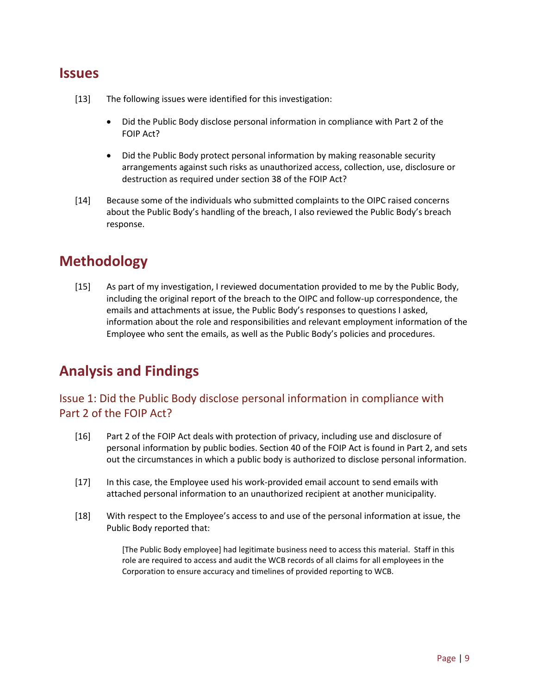## <span id="page-8-0"></span>**Issues**

- [13] The following issues were identified for this investigation:
	- Did the Public Body disclose personal information in compliance with Part 2 of the FOIP Act?
	- Did the Public Body protect personal information by making reasonable security arrangements against such risks as unauthorized access, collection, use, disclosure or destruction as required under section 38 of the FOIP Act?
- [14] Because some of the individuals who submitted complaints to the OIPC raised concerns about the Public Body's handling of the breach, I also reviewed the Public Body's breach response.

## <span id="page-8-1"></span>**Methodology**

[15] As part of my investigation, I reviewed documentation provided to me by the Public Body, including the original report of the breach to the OIPC and follow-up correspondence, the emails and attachments at issue, the Public Body's responses to questions I asked, information about the role and responsibilities and relevant employment information of the Employee who sent the emails, as well as the Public Body's policies and procedures.

## <span id="page-8-2"></span>**Analysis and Findings**

### <span id="page-8-3"></span>Issue 1: Did the Public Body disclose personal information in compliance with Part 2 of the FOIP Act?

- [16] Part 2 of the FOIP Act deals with protection of privacy, including use and disclosure of personal information by public bodies. Section 40 of the FOIP Act is found in Part 2, and sets out the circumstances in which a public body is authorized to disclose personal information.
- [17] In this case, the Employee used his work-provided email account to send emails with attached personal information to an unauthorized recipient at another municipality.
- [18] With respect to the Employee's access to and use of the personal information at issue, the Public Body reported that:

[The Public Body employee] had legitimate business need to access this material. Staff in this role are required to access and audit the WCB records of all claims for all employees in the Corporation to ensure accuracy and timelines of provided reporting to WCB.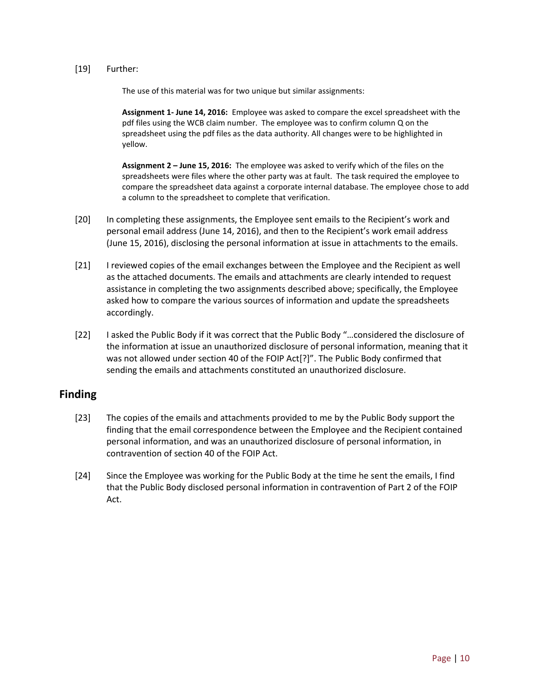#### [19] Further:

The use of this material was for two unique but similar assignments:

**Assignment 1- June 14, 2016:** Employee was asked to compare the excel spreadsheet with the pdf files using the WCB claim number. The employee was to confirm column Q on the spreadsheet using the pdf files as the data authority. All changes were to be highlighted in yellow.

**Assignment 2 – June 15, 2016:** The employee was asked to verify which of the files on the spreadsheets were files where the other party was at fault. The task required the employee to compare the spreadsheet data against a corporate internal database. The employee chose to add a column to the spreadsheet to complete that verification.

- [20] In completing these assignments, the Employee sent emails to the Recipient's work and personal email address (June 14, 2016), and then to the Recipient's work email address (June 15, 2016), disclosing the personal information at issue in attachments to the emails.
- [21] I reviewed copies of the email exchanges between the Employee and the Recipient as well as the attached documents. The emails and attachments are clearly intended to request assistance in completing the two assignments described above; specifically, the Employee asked how to compare the various sources of information and update the spreadsheets accordingly.
- [22] I asked the Public Body if it was correct that the Public Body "…considered the disclosure of the information at issue an unauthorized disclosure of personal information, meaning that it was not allowed under section 40 of the FOIP Act[?]". The Public Body confirmed that sending the emails and attachments constituted an unauthorized disclosure.

### **Finding**

- [23] The copies of the emails and attachments provided to me by the Public Body support the finding that the email correspondence between the Employee and the Recipient contained personal information, and was an unauthorized disclosure of personal information, in contravention of section 40 of the FOIP Act.
- <span id="page-9-0"></span>[24] Since the Employee was working for the Public Body at the time he sent the emails, I find that the Public Body disclosed personal information in contravention of Part 2 of the FOIP Act.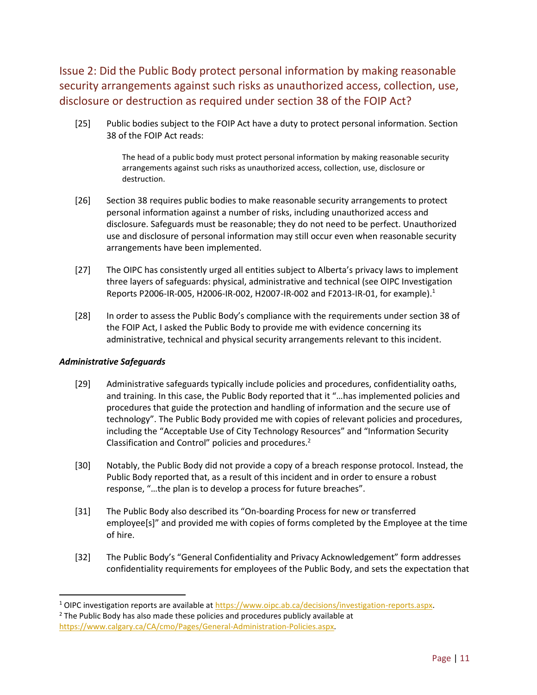Issue 2: Did the Public Body protect personal information by making reasonable security arrangements against such risks as unauthorized access, collection, use, disclosure or destruction as required under section 38 of the FOIP Act?

[25] Public bodies subject to the FOIP Act have a duty to protect personal information. Section 38 of the FOIP Act reads:

> The head of a public body must protect personal information by making reasonable security arrangements against such risks as unauthorized access, collection, use, disclosure or destruction.

- [26] Section 38 requires public bodies to make reasonable security arrangements to protect personal information against a number of risks, including unauthorized access and disclosure. Safeguards must be reasonable; they do not need to be perfect. Unauthorized use and disclosure of personal information may still occur even when reasonable security arrangements have been implemented.
- [27] The OIPC has consistently urged all entities subject to Alberta's privacy laws to implement three layers of safeguards: physical, administrative and technical (see OIPC Investigation Reports P2006-IR-005, H2006-IR-002, H2007-IR-002 and F2013-IR-01, for example). 1
- [28] In order to assess the Public Body's compliance with the requirements under section 38 of the FOIP Act, I asked the Public Body to provide me with evidence concerning its administrative, technical and physical security arrangements relevant to this incident.

#### *Administrative Safeguards*

 $\overline{\phantom{a}}$ 

- [29] Administrative safeguards typically include policies and procedures, confidentiality oaths, and training. In this case, the Public Body reported that it "…has implemented policies and procedures that guide the protection and handling of information and the secure use of technology". The Public Body provided me with copies of relevant policies and procedures, including the "Acceptable Use of City Technology Resources" and "Information Security Classification and Control" policies and procedures.<sup>2</sup>
- [30] Notably, the Public Body did not provide a copy of a breach response protocol. Instead, the Public Body reported that, as a result of this incident and in order to ensure a robust response, "…the plan is to develop a process for future breaches".
- [31] The Public Body also described its "On-boarding Process for new or transferred employee[s]" and provided me with copies of forms completed by the Employee at the time of hire.
- [32] The Public Body's "General Confidentiality and Privacy Acknowledgement" form addresses confidentiality requirements for employees of the Public Body, and sets the expectation that

<sup>&</sup>lt;sup>1</sup> OIPC investigation reports are available at https://www.oipc.ab.ca/decisions/investigation-reports.aspx.  $2$  The Public Body has also made these policies and procedures publicly available at [https://www.calgary.ca/CA/cmo/Pages/General-Administration-Policies.aspx.](https://www.calgary.ca/CA/cmo/Pages/General-Administration-Policies.aspx)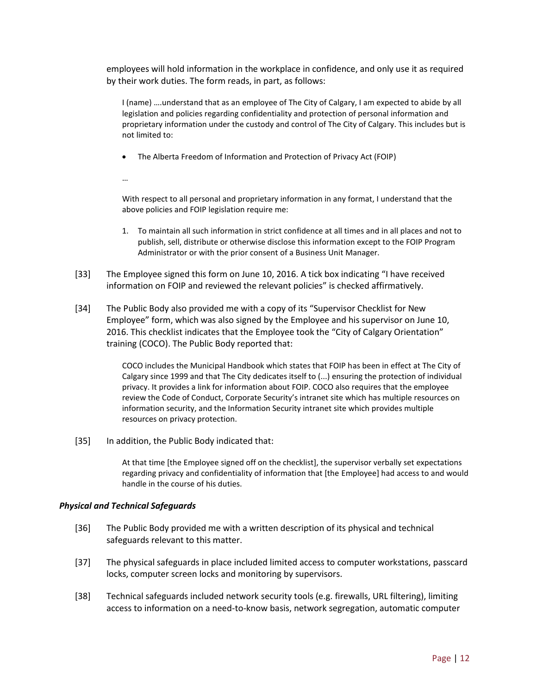employees will hold information in the workplace in confidence, and only use it as required by their work duties. The form reads, in part, as follows:

I (name) ….understand that as an employee of The City of Calgary, I am expected to abide by all legislation and policies regarding confidentiality and protection of personal information and proprietary information under the custody and control of The City of Calgary. This includes but is not limited to:

The Alberta Freedom of Information and Protection of Privacy Act (FOIP)

…

With respect to all personal and proprietary information in any format, I understand that the above policies and FOIP legislation require me:

- 1. To maintain all such information in strict confidence at all times and in all places and not to publish, sell, distribute or otherwise disclose this information except to the FOIP Program Administrator or with the prior consent of a Business Unit Manager.
- [33] The Employee signed this form on June 10, 2016. A tick box indicating "I have received information on FOIP and reviewed the relevant policies" is checked affirmatively.
- [34] The Public Body also provided me with a copy of its "Supervisor Checklist for New Employee" form, which was also signed by the Employee and his supervisor on June 10, 2016. This checklist indicates that the Employee took the "City of Calgary Orientation" training (COCO). The Public Body reported that:

COCO includes the Municipal Handbook which states that FOIP has been in effect at The City of Calgary since 1999 and that The City dedicates itself to (...) ensuring the protection of individual privacy. It provides a link for information about FOIP. COCO also requires that the employee review the Code of Conduct, Corporate Security's intranet site which has multiple resources on information security, and the Information Security intranet site which provides multiple resources on privacy protection.

[35] In addition, the Public Body indicated that:

At that time [the Employee signed off on the checklist], the supervisor verbally set expectations regarding privacy and confidentiality of information that [the Employee] had access to and would handle in the course of his duties.

#### *Physical and Technical Safeguards*

- [36] The Public Body provided me with a written description of its physical and technical safeguards relevant to this matter.
- [37] The physical safeguards in place included limited access to computer workstations, passcard locks, computer screen locks and monitoring by supervisors.
- [38] Technical safeguards included network security tools (e.g. firewalls, URL filtering), limiting access to information on a need-to-know basis, network segregation, automatic computer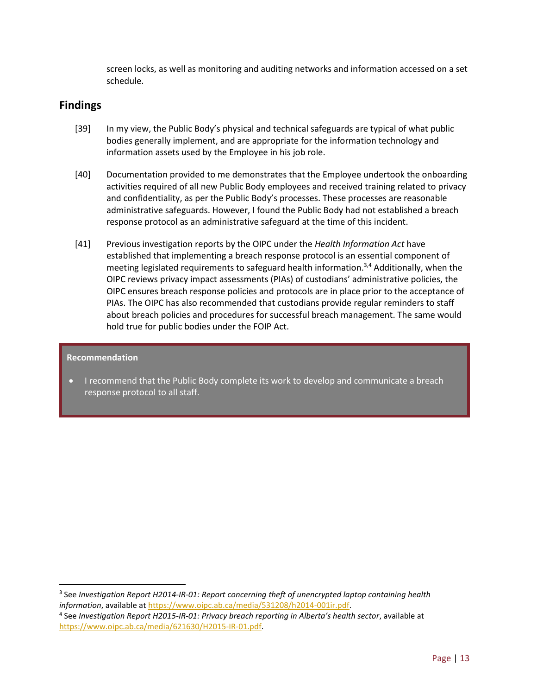screen locks, as well as monitoring and auditing networks and information accessed on a set schedule.

### **Findings**

- [39] In my view, the Public Body's physical and technical safeguards are typical of what public bodies generally implement, and are appropriate for the information technology and information assets used by the Employee in his job role.
- [40] Documentation provided to me demonstrates that the Employee undertook the onboarding activities required of all new Public Body employees and received training related to privacy and confidentiality, as per the Public Body's processes. These processes are reasonable administrative safeguards. However, I found the Public Body had not established a breach response protocol as an administrative safeguard at the time of this incident.
- [41] Previous investigation reports by the OIPC under the *Health Information Act* have established that implementing a breach response protocol is an essential component of meeting legislated requirements to safeguard health information.3,4 Additionally, when the OIPC reviews privacy impact assessments (PIAs) of custodians' administrative policies, the OIPC ensures breach response policies and protocols are in place prior to the acceptance of PIAs. The OIPC has also recommended that custodians provide regular reminders to staff about breach policies and procedures for successful breach management. The same would hold true for public bodies under the FOIP Act.

#### **Recommendation**

 $\overline{a}$ 

<span id="page-12-0"></span> I recommend that the Public Body complete its work to develop and communicate a breach response protocol to all staff.

<sup>3</sup> See *Investigation Report H2014-IR-01: Report concerning theft of unencrypted laptop containing health information*, available at [https://www.oipc.ab.ca/media/531208/h2014-001ir.pdf.](https://www.oipc.ab.ca/media/531208/h2014-001ir.pdf)

<sup>4</sup> See *Investigation Report H2015-IR-01: Privacy breach reporting in Alberta's health sector*, available at [https://www.oipc.ab.ca/media/621630/H2015-IR-01.pdf.](https://www.oipc.ab.ca/media/621630/H2015-IR-01.pdf)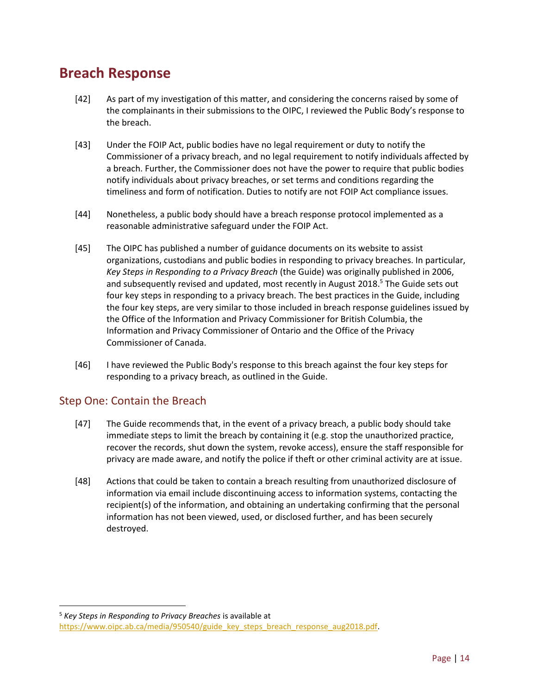## **Breach Response**

- [42] As part of my investigation of this matter, and considering the concerns raised by some of the complainants in their submissions to the OIPC, I reviewed the Public Body's response to the breach.
- [43] Under the FOIP Act, public bodies have no legal requirement or duty to notify the Commissioner of a privacy breach, and no legal requirement to notify individuals affected by a breach. Further, the Commissioner does not have the power to require that public bodies notify individuals about privacy breaches, or set terms and conditions regarding the timeliness and form of notification. Duties to notify are not FOIP Act compliance issues.
- [44] Nonetheless, a public body should have a breach response protocol implemented as a reasonable administrative safeguard under the FOIP Act.
- [45] The OIPC has published a number of guidance documents on its website to assist organizations, custodians and public bodies in responding to privacy breaches. In particular, *Key Steps in Responding to a Privacy Breach* (the Guide) was originally published in 2006, and subsequently revised and updated, most recently in August 2018. <sup>5</sup> The Guide sets out four key steps in responding to a privacy breach. The best practices in the Guide, including the four key steps, are very similar to those included in breach response guidelines issued by the Office of the Information and Privacy Commissioner for British Columbia, the Information and Privacy Commissioner of Ontario and the Office of the Privacy Commissioner of Canada.
- [46] I have reviewed the Public Body's response to this breach against the four key steps for responding to a privacy breach, as outlined in the Guide.

### <span id="page-13-0"></span>Step One: Contain the Breach

l

- [47] The Guide recommends that, in the event of a privacy breach, a public body should take immediate steps to limit the breach by containing it (e.g. stop the unauthorized practice, recover the records, shut down the system, revoke access), ensure the staff responsible for privacy are made aware, and notify the police if theft or other criminal activity are at issue.
- [48] Actions that could be taken to contain a breach resulting from unauthorized disclosure of information via email include discontinuing access to information systems, contacting the recipient(s) of the information, and obtaining an undertaking confirming that the personal information has not been viewed, used, or disclosed further, and has been securely destroyed.

<sup>5</sup> *Key Steps in Responding to Privacy Breaches* is available at [https://www.oipc.ab.ca/media/950540/guide\\_key\\_steps\\_breach\\_response\\_aug2018.pdf.](https://www.oipc.ab.ca/media/950540/guide_key_steps_breach_response_aug2018.pdf)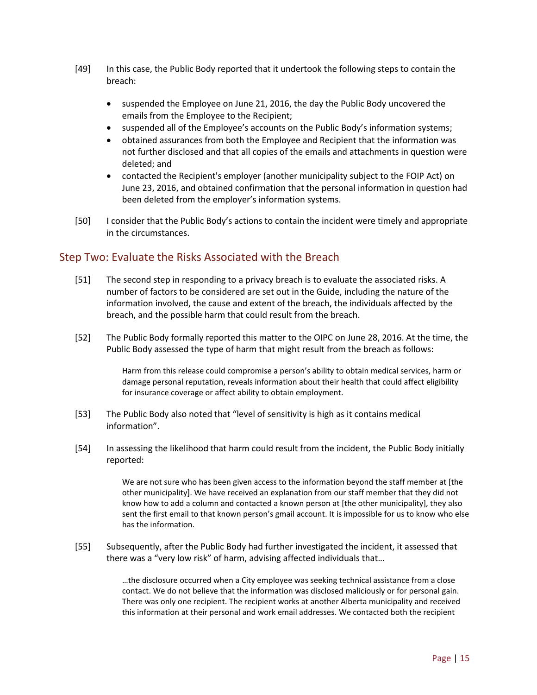- [49] In this case, the Public Body reported that it undertook the following steps to contain the breach:
	- suspended the Employee on June 21, 2016, the day the Public Body uncovered the emails from the Employee to the Recipient;
	- suspended all of the Employee's accounts on the Public Body's information systems;
	- obtained assurances from both the Employee and Recipient that the information was not further disclosed and that all copies of the emails and attachments in question were deleted; and
	- contacted the Recipient's employer (another municipality subject to the FOIP Act) on June 23, 2016, and obtained confirmation that the personal information in question had been deleted from the employer's information systems.
- [50] I consider that the Public Body's actions to contain the incident were timely and appropriate in the circumstances.

### <span id="page-14-0"></span>Step Two: Evaluate the Risks Associated with the Breach

- [51] The second step in responding to a privacy breach is to evaluate the associated risks. A number of factors to be considered are set out in the Guide, including the nature of the information involved, the cause and extent of the breach, the individuals affected by the breach, and the possible harm that could result from the breach.
- [52] The Public Body formally reported this matter to the OIPC on June 28, 2016. At the time, the Public Body assessed the type of harm that might result from the breach as follows:

Harm from this release could compromise a person's ability to obtain medical services, harm or damage personal reputation, reveals information about their health that could affect eligibility for insurance coverage or affect ability to obtain employment.

- [53] The Public Body also noted that "level of sensitivity is high as it contains medical information".
- [54] In assessing the likelihood that harm could result from the incident, the Public Body initially reported:

We are not sure who has been given access to the information beyond the staff member at [the other municipality]. We have received an explanation from our staff member that they did not know how to add a column and contacted a known person at [the other municipality], they also sent the first email to that known person's gmail account. It is impossible for us to know who else has the information.

[55] Subsequently, after the Public Body had further investigated the incident, it assessed that there was a "very low risk" of harm, advising affected individuals that…

> …the disclosure occurred when a City employee was seeking technical assistance from a close contact. We do not believe that the information was disclosed maliciously or for personal gain. There was only one recipient. The recipient works at another Alberta municipality and received this information at their personal and work email addresses. We contacted both the recipient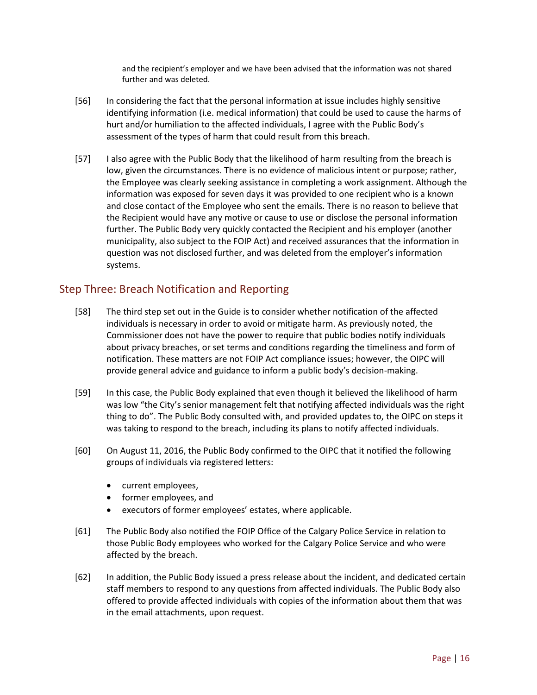and the recipient's employer and we have been advised that the information was not shared further and was deleted.

- [56] In considering the fact that the personal information at issue includes highly sensitive identifying information (i.e. medical information) that could be used to cause the harms of hurt and/or humiliation to the affected individuals, I agree with the Public Body's assessment of the types of harm that could result from this breach.
- [57] I also agree with the Public Body that the likelihood of harm resulting from the breach is low, given the circumstances. There is no evidence of malicious intent or purpose; rather, the Employee was clearly seeking assistance in completing a work assignment. Although the information was exposed for seven days it was provided to one recipient who is a known and close contact of the Employee who sent the emails. There is no reason to believe that the Recipient would have any motive or cause to use or disclose the personal information further. The Public Body very quickly contacted the Recipient and his employer (another municipality, also subject to the FOIP Act) and received assurances that the information in question was not disclosed further, and was deleted from the employer's information systems.

### <span id="page-15-0"></span>Step Three: Breach Notification and Reporting

- [58] The third step set out in the Guide is to consider whether notification of the affected individuals is necessary in order to avoid or mitigate harm. As previously noted, the Commissioner does not have the power to require that public bodies notify individuals about privacy breaches, or set terms and conditions regarding the timeliness and form of notification. These matters are not FOIP Act compliance issues; however, the OIPC will provide general advice and guidance to inform a public body's decision-making.
- [59] In this case, the Public Body explained that even though it believed the likelihood of harm was low "the City's senior management felt that notifying affected individuals was the right thing to do". The Public Body consulted with, and provided updates to, the OIPC on steps it was taking to respond to the breach, including its plans to notify affected individuals.
- [60] On August 11, 2016, the Public Body confirmed to the OIPC that it notified the following groups of individuals via registered letters:
	- current employees,
	- former employees, and
	- executors of former employees' estates, where applicable.
- [61] The Public Body also notified the FOIP Office of the Calgary Police Service in relation to those Public Body employees who worked for the Calgary Police Service and who were affected by the breach.
- [62] In addition, the Public Body issued a press release about the incident, and dedicated certain staff members to respond to any questions from affected individuals. The Public Body also offered to provide affected individuals with copies of the information about them that was in the email attachments, upon request.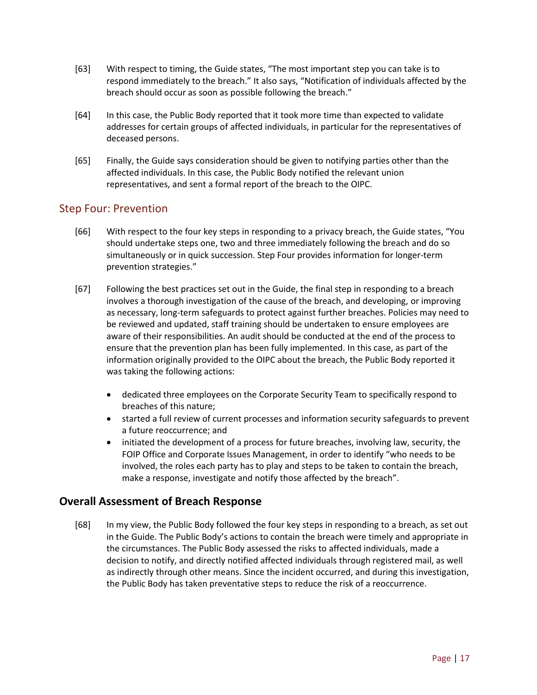- [63] With respect to timing, the Guide states, "The most important step you can take is to respond immediately to the breach." It also says, "Notification of individuals affected by the breach should occur as soon as possible following the breach."
- [64] In this case, the Public Body reported that it took more time than expected to validate addresses for certain groups of affected individuals, in particular for the representatives of deceased persons.
- <span id="page-16-0"></span>[65] Finally, the Guide says consideration should be given to notifying parties other than the affected individuals. In this case, the Public Body notified the relevant union representatives, and sent a formal report of the breach to the OIPC.

### Step Four: Prevention

- [66] With respect to the four key steps in responding to a privacy breach, the Guide states, "You should undertake steps one, two and three immediately following the breach and do so simultaneously or in quick succession. Step Four provides information for longer-term prevention strategies."
- [67] Following the best practices set out in the Guide, the final step in responding to a breach involves a thorough investigation of the cause of the breach, and developing, or improving as necessary, long-term safeguards to protect against further breaches. Policies may need to be reviewed and updated, staff training should be undertaken to ensure employees are aware of their responsibilities. An audit should be conducted at the end of the process to ensure that the prevention plan has been fully implemented. In this case, as part of the information originally provided to the OIPC about the breach, the Public Body reported it was taking the following actions:
	- dedicated three employees on the Corporate Security Team to specifically respond to breaches of this nature;
	- started a full review of current processes and information security safeguards to prevent a future reoccurrence; and
	- initiated the development of a process for future breaches, involving law, security, the FOIP Office and Corporate Issues Management, in order to identify "who needs to be involved, the roles each party has to play and steps to be taken to contain the breach, make a response, investigate and notify those affected by the breach".

### **Overall Assessment of Breach Response**

<span id="page-16-1"></span>[68] In my view, the Public Body followed the four key steps in responding to a breach, as set out in the Guide. The Public Body's actions to contain the breach were timely and appropriate in the circumstances. The Public Body assessed the risks to affected individuals, made a decision to notify, and directly notified affected individuals through registered mail, as well as indirectly through other means. Since the incident occurred, and during this investigation, the Public Body has taken preventative steps to reduce the risk of a reoccurrence.